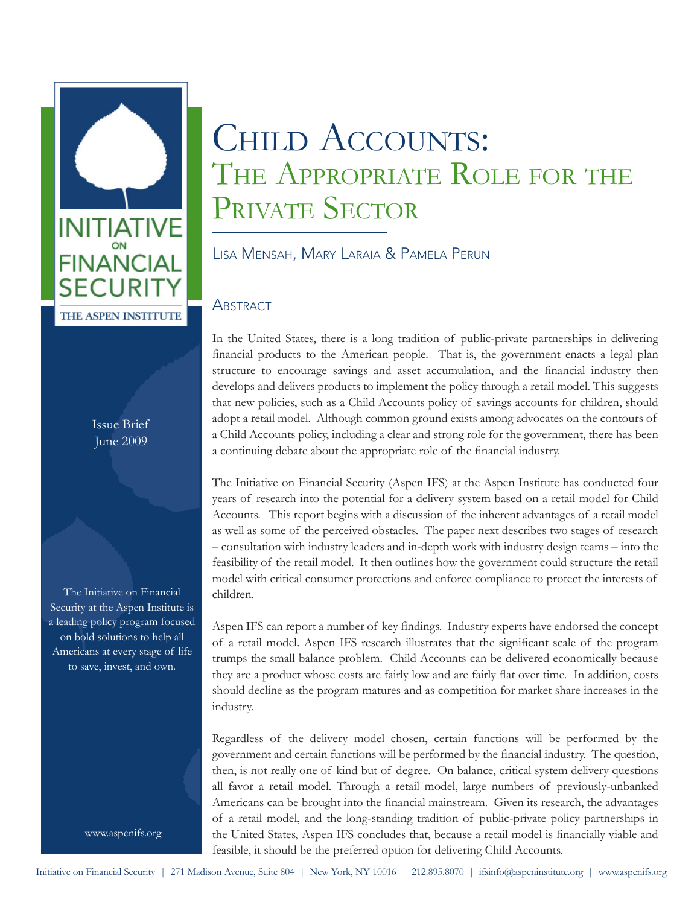

Issue Brief June 2009

The Initiative on Financial Security at the Aspen Institute is a leading policy program focused on bold solutions to help all Americans at every stage of life to save, invest, and own.

www.aspenifs.org

# CHILD ACCOUNTS: THE APPROPRIATE ROLE FOR THE PRIVATE SECTOR

Lisa Mensah, Mary Laraia & Pamela Perun

## **ABSTRACT**

In the United States, there is a long tradition of public-private partnerships in delivering financial products to the American people. That is, the government enacts a legal plan structure to encourage savings and asset accumulation, and the financial industry then develops and delivers products to implement the policy through a retail model. This suggests that new policies, such as a Child Accounts policy of savings accounts for children, should adopt a retail model. Although common ground exists among advocates on the contours of a Child Accounts policy, including a clear and strong role for the government, there has been a continuing debate about the appropriate role of the financial industry.

The Initiative on Financial Security (Aspen IFS) at the Aspen Institute has conducted four years of research into the potential for a delivery system based on a retail model for Child Accounts. This report begins with a discussion of the inherent advantages of a retail model as well as some of the perceived obstacles. The paper next describes two stages of research – consultation with industry leaders and in-depth work with industry design teams – into the feasibility of the retail model. It then outlines how the government could structure the retail model with critical consumer protections and enforce compliance to protect the interests of children.

Aspen IFS can report a number of key findings. Industry experts have endorsed the concept of a retail model. Aspen IFS research illustrates that the significant scale of the program trumps the small balance problem. Child Accounts can be delivered economically because they are a product whose costs are fairly low and are fairly flat over time. In addition, costs should decline as the program matures and as competition for market share increases in the industry.

Regardless of the delivery model chosen, certain functions will be performed by the government and certain functions will be performed by the financial industry. The question, then, is not really one of kind but of degree. On balance, critical system delivery questions all favor a retail model. Through a retail model, large numbers of previously-unbanked Americans can be brought into the financial mainstream. Given its research, the advantages of a retail model, and the long-standing tradition of public-private policy partnerships in the United States, Aspen IFS concludes that, because a retail model is financially viable and feasible, it should be the preferred option for delivering Child Accounts.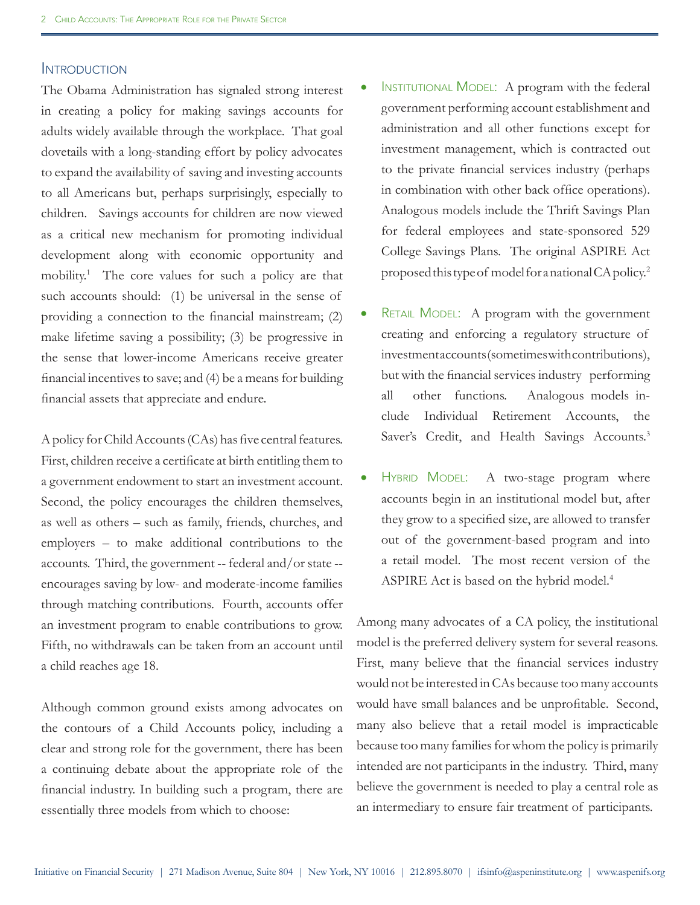## **INTRODUCTION**

The Obama Administration has signaled strong interest in creating a policy for making savings accounts for adults widely available through the workplace. That goal dovetails with a long-standing effort by policy advocates to expand the availability of saving and investing accounts to all Americans but, perhaps surprisingly, especially to children. Savings accounts for children are now viewed as a critical new mechanism for promoting individual development along with economic opportunity and mobility.1 The core values for such a policy are that such accounts should: (1) be universal in the sense of providing a connection to the financial mainstream; (2) make lifetime saving a possibility; (3) be progressive in the sense that lower-income Americans receive greater financial incentives to save; and (4) be a means for building financial assets that appreciate and endure.

A policy for Child Accounts (CAs) has five central features. First, children receive a certificate at birth entitling them to a government endowment to start an investment account. Second, the policy encourages the children themselves, as well as others – such as family, friends, churches, and employers – to make additional contributions to the accounts. Third, the government -- federal and/or state - encourages saving by low- and moderate-income families through matching contributions. Fourth, accounts offer an investment program to enable contributions to grow. Fifth, no withdrawals can be taken from an account until a child reaches age 18.

Although common ground exists among advocates on the contours of a Child Accounts policy, including a clear and strong role for the government, there has been a continuing debate about the appropriate role of the financial industry. In building such a program, there are essentially three models from which to choose:

- INSTITUTIONAL MODEL: A program with the federal government performing account establishment and administration and all other functions except for investment management, which is contracted out to the private financial services industry (perhaps in combination with other back office operations). Analogous models include the Thrift Savings Plan for federal employees and state-sponsored 529 College Savings Plans. The original ASPIRE Act proposed this type of model for a national CA policy.2
- RETAIL MODEL: A program with the government creating and enforcing a regulatory structure of investment accounts (sometimes with contributions), but with the financial services industry performing all other functions. Analogous models include Individual Retirement Accounts, the Saver's Credit, and Health Savings Accounts.<sup>3</sup>
- HYBRID MODEL: A two-stage program where accounts begin in an institutional model but, after they grow to a specified size, are allowed to transfer out of the government-based program and into a retail model. The most recent version of the ASPIRE Act is based on the hybrid model.<sup>4</sup>

Among many advocates of a CA policy, the institutional model is the preferred delivery system for several reasons. First, many believe that the financial services industry would not be interested in CAs because too many accounts would have small balances and be unprofitable. Second, many also believe that a retail model is impracticable because too many families for whom the policy is primarily intended are not participants in the industry. Third, many believe the government is needed to play a central role as an intermediary to ensure fair treatment of participants.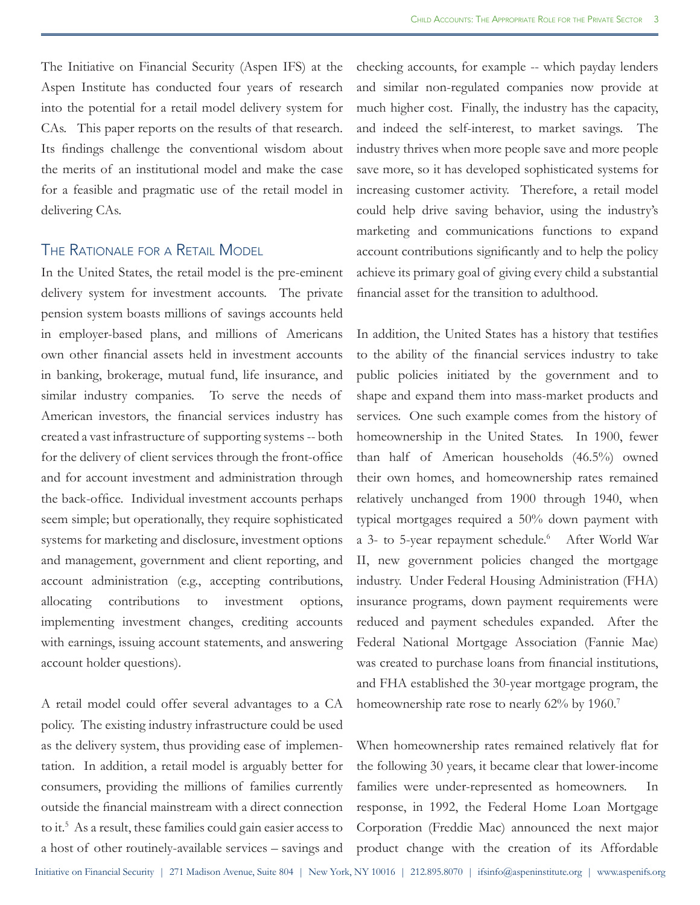The Initiative on Financial Security (Aspen IFS) at the Aspen Institute has conducted four years of research into the potential for a retail model delivery system for CAs. This paper reports on the results of that research. Its findings challenge the conventional wisdom about the merits of an institutional model and make the case for a feasible and pragmatic use of the retail model in delivering CAs.

#### The Rationale for <sup>a</sup> Retail Model

In the United States, the retail model is the pre-eminent delivery system for investment accounts. The private pension system boasts millions of savings accounts held in employer-based plans, and millions of Americans own other financial assets held in investment accounts in banking, brokerage, mutual fund, life insurance, and similar industry companies. To serve the needs of American investors, the financial services industry has created a vast infrastructure of supporting systems -- both for the delivery of client services through the front-office and for account investment and administration through the back-office. Individual investment accounts perhaps seem simple; but operationally, they require sophisticated systems for marketing and disclosure, investment options and management, government and client reporting, and account administration (e.g., accepting contributions, allocating contributions to investment options, implementing investment changes, crediting accounts with earnings, issuing account statements, and answering account holder questions).

A retail model could offer several advantages to a CA policy. The existing industry infrastructure could be used as the delivery system, thus providing ease of implementation. In addition, a retail model is arguably better for consumers, providing the millions of families currently outside the financial mainstream with a direct connection to it.5 As a result, these families could gain easier access to a host of other routinely-available services – savings and

checking accounts, for example -- which payday lenders and similar non-regulated companies now provide at much higher cost. Finally, the industry has the capacity, and indeed the self-interest, to market savings. The industry thrives when more people save and more people save more, so it has developed sophisticated systems for increasing customer activity. Therefore, a retail model could help drive saving behavior, using the industry's marketing and communications functions to expand account contributions significantly and to help the policy achieve its primary goal of giving every child a substantial financial asset for the transition to adulthood.

In addition, the United States has a history that testifies to the ability of the financial services industry to take public policies initiated by the government and to shape and expand them into mass-market products and services. One such example comes from the history of homeownership in the United States. In 1900, fewer than half of American households (46.5%) owned their own homes, and homeownership rates remained relatively unchanged from 1900 through 1940, when typical mortgages required a 50% down payment with a 3- to 5-year repayment schedule.<sup>6</sup> After World War II, new government policies changed the mortgage industry. Under Federal Housing Administration (FHA) insurance programs, down payment requirements were reduced and payment schedules expanded. After the Federal National Mortgage Association (Fannie Mae) was created to purchase loans from financial institutions, and FHA established the 30-year mortgage program, the homeownership rate rose to nearly 62% by 1960.<sup>7</sup>

When homeownership rates remained relatively flat for the following 30 years, it became clear that lower-income families were under-represented as homeowners. In response, in 1992, the Federal Home Loan Mortgage Corporation (Freddie Mac) announced the next major product change with the creation of its Affordable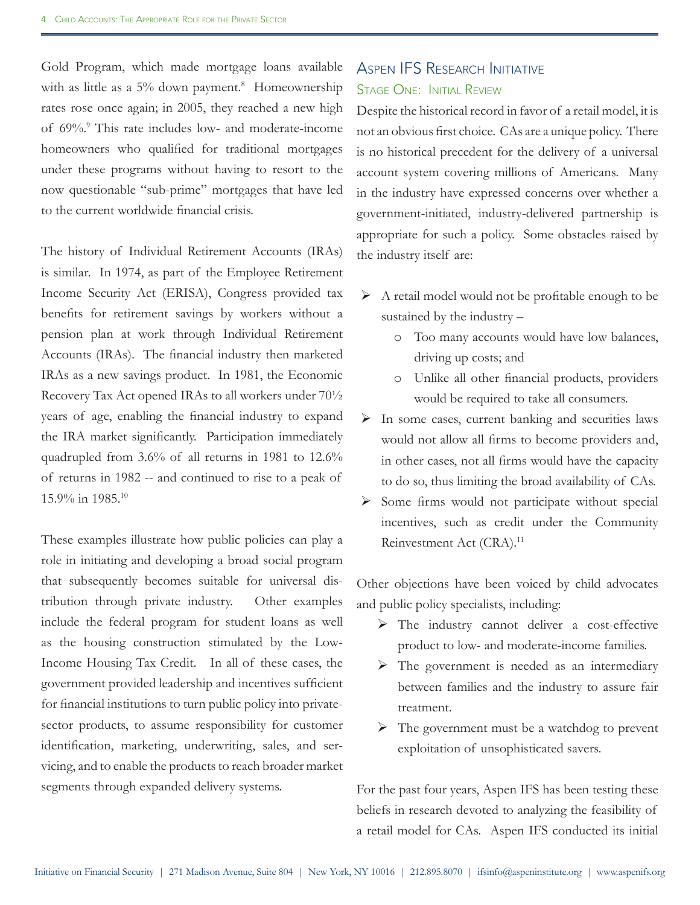Gold Program, which made mortgage loans available with as little as a 5% down payment.<sup>8</sup> Homeownership rates rose once again; in 2005, they reached a new high of 69%.<sup>9</sup> This rate includes low- and moderate-income homeowners who qualified for traditional mortgages under these programs without having to resort to the now questionable "sub-prime" mortgages that have led to the current worldwide financial crisis.

The history of Individual Retirement Accounts (IRAs) is similar. In 1974, as part of the Employee Retirement Income Security Act (ERISA), Congress provided tax benefits for retirement savings by workers without a pension plan at work through Individual Retirement Accounts (IRAs). The financial industry then marketed IRAs as a new savings product. In 1981, the Economic Recovery Tax Act opened IRAs to all workers under 70½ years of age, enabling the financial industry to expand the IRA market significantly. Participation immediately quadrupled from 3.6% of all returns in 1981 to 12.6% of returns in 1982 -- and continued to rise to a peak of 15.9% in 1985.10

These examples illustrate how public policies can play a role in initiating and developing a broad social program that subsequently becomes suitable for universal distribution through private industry. Other examples include the federal program for student loans as well as the housing construction stimulated by the Low-Income Housing Tax Credit. In all of these cases, the government provided leadership and incentives sufficient for financial institutions to turn public policy into privatesector products, to assume responsibility for customer identification, marketing, underwriting, sales, and servicing, and to enable the products to reach broader market segments through expanded delivery systems.

## Aspen IFS Research Initiative Stage One: Initial Review

Despite the historical record in favor of a retail model, it is not an obvious first choice. CAs are a unique policy. There is no historical precedent for the delivery of a universal account system covering millions of Americans. Many in the industry have expressed concerns over whether a government-initiated, industry-delivered partnership is appropriate for such a policy. Some obstacles raised by the industry itself are:

- $\triangleright$  A retail model would not be profitable enough to be sustained by the industry –
	- o Too many accounts would have low balances, driving up costs; and
	- o Unlike all other financial products, providers would be required to take all consumers.
- $\triangleright$  In some cases, current banking and securities laws would not allow all firms to become providers and, in other cases, not all firms would have the capacity to do so, thus limiting the broad availability of CAs.
- $\triangleright$  Some firms would not participate without special incentives, such as credit under the Community Reinvestment Act (CRA).<sup>11</sup>

Other objections have been voiced by child advocates and public policy specialists, including:

- The industry cannot deliver a cost-effective product to low- and moderate-income families.
- $\triangleright$  The government is needed as an intermediary between families and the industry to assure fair treatment.
- $\triangleright$  The government must be a watchdog to prevent exploitation of unsophisticated savers.

For the past four years, Aspen IFS has been testing these beliefs in research devoted to analyzing the feasibility of a retail model for CAs. Aspen IFS conducted its initial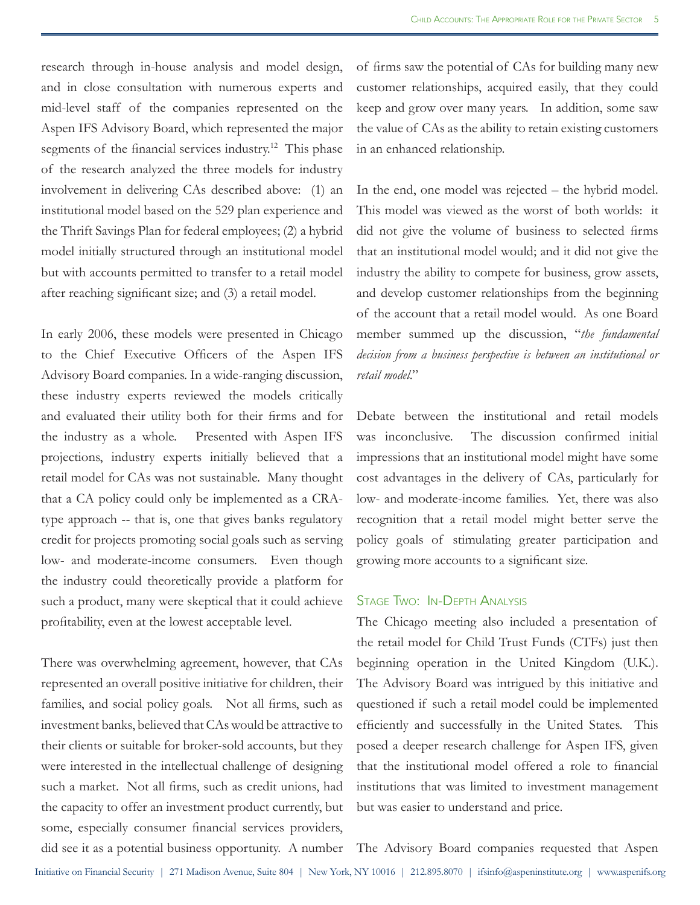research through in-house analysis and model design, and in close consultation with numerous experts and mid-level staff of the companies represented on the Aspen IFS Advisory Board, which represented the major segments of the financial services industry.<sup>12</sup> This phase of the research analyzed the three models for industry involvement in delivering CAs described above: (1) an institutional model based on the 529 plan experience and the Thrift Savings Plan for federal employees; (2) a hybrid model initially structured through an institutional model but with accounts permitted to transfer to a retail model after reaching significant size; and (3) a retail model.

In early 2006, these models were presented in Chicago to the Chief Executive Officers of the Aspen IFS Advisory Board companies. In a wide-ranging discussion, these industry experts reviewed the models critically and evaluated their utility both for their firms and for the industry as a whole. Presented with Aspen IFS projections, industry experts initially believed that a retail model for CAs was not sustainable. Many thought that a CA policy could only be implemented as a CRAtype approach -- that is, one that gives banks regulatory credit for projects promoting social goals such as serving low- and moderate-income consumers. Even though the industry could theoretically provide a platform for such a product, many were skeptical that it could achieve profitability, even at the lowest acceptable level.

There was overwhelming agreement, however, that CAs represented an overall positive initiative for children, their families, and social policy goals. Not all firms, such as investment banks, believed that CAs would be attractive to their clients or suitable for broker-sold accounts, but they were interested in the intellectual challenge of designing such a market. Not all firms, such as credit unions, had the capacity to offer an investment product currently, but some, especially consumer financial services providers, did see it as a potential business opportunity. A number of firms saw the potential of CAs for building many new customer relationships, acquired easily, that they could keep and grow over many years. In addition, some saw the value of CAs as the ability to retain existing customers in an enhanced relationship.

In the end, one model was rejected – the hybrid model. This model was viewed as the worst of both worlds: it did not give the volume of business to selected firms that an institutional model would; and it did not give the industry the ability to compete for business, grow assets, and develop customer relationships from the beginning of the account that a retail model would. As one Board member summed up the discussion, "*the fundamental decision from a business perspective is between an institutional or retail model*."

Debate between the institutional and retail models was inconclusive. The discussion confirmed initial impressions that an institutional model might have some cost advantages in the delivery of CAs, particularly for low- and moderate-income families. Yet, there was also recognition that a retail model might better serve the policy goals of stimulating greater participation and growing more accounts to a significant size.

#### Stage Two: In-Depth Analysis

The Chicago meeting also included a presentation of the retail model for Child Trust Funds (CTFs) just then beginning operation in the United Kingdom (U.K.). The Advisory Board was intrigued by this initiative and questioned if such a retail model could be implemented efficiently and successfully in the United States. This posed a deeper research challenge for Aspen IFS, given that the institutional model offered a role to financial institutions that was limited to investment management but was easier to understand and price.

The Advisory Board companies requested that Aspen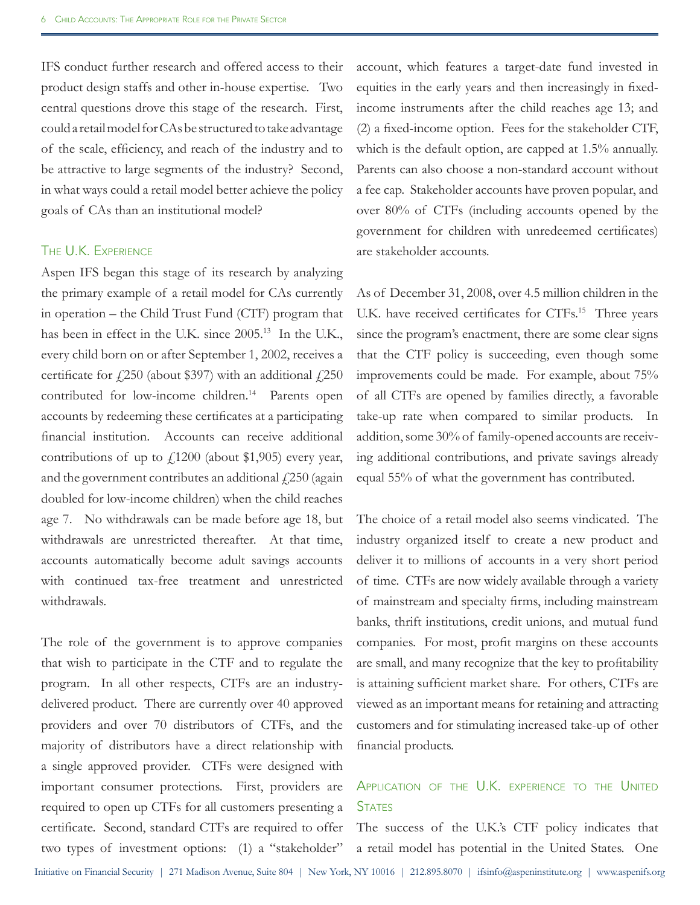IFS conduct further research and offered access to their product design staffs and other in-house expertise. Two central questions drove this stage of the research. First, could a retail model for CAs be structured to take advantage of the scale, efficiency, and reach of the industry and to be attractive to large segments of the industry? Second, in what ways could a retail model better achieve the policy goals of CAs than an institutional model?

#### The U.K. Experience

Aspen IFS began this stage of its research by analyzing the primary example of a retail model for CAs currently in operation – the Child Trust Fund (CTF) program that has been in effect in the U.K. since 2005.<sup>13</sup> In the U.K., every child born on or after September 1, 2002, receives a certificate for  $\angle 250$  (about \$397) with an additional  $\angle 250$ contributed for low-income children.<sup>14</sup> Parents open accounts by redeeming these certificates at a participating financial institution. Accounts can receive additional contributions of up to  $f(1200)$  (about \$1,905) every year, and the government contributes an additional  $\ell$ 250 (again doubled for low-income children) when the child reaches age 7. No withdrawals can be made before age 18, but withdrawals are unrestricted thereafter. At that time, accounts automatically become adult savings accounts with continued tax-free treatment and unrestricted withdrawals.

The role of the government is to approve companies that wish to participate in the CTF and to regulate the program. In all other respects, CTFs are an industrydelivered product. There are currently over 40 approved providers and over 70 distributors of CTFs, and the majority of distributors have a direct relationship with a single approved provider. CTFs were designed with important consumer protections. First, providers are required to open up CTFs for all customers presenting a certificate. Second, standard CTFs are required to offer two types of investment options: (1) a "stakeholder"

account, which features a target-date fund invested in equities in the early years and then increasingly in fixedincome instruments after the child reaches age 13; and (2) a fixed-income option. Fees for the stakeholder CTF, which is the default option, are capped at 1.5% annually. Parents can also choose a non-standard account without a fee cap. Stakeholder accounts have proven popular, and over 80% of CTFs (including accounts opened by the government for children with unredeemed certificates) are stakeholder accounts.

As of December 31, 2008, over 4.5 million children in the U.K. have received certificates for CTFs.<sup>15</sup> Three years since the program's enactment, there are some clear signs that the CTF policy is succeeding, even though some improvements could be made. For example, about 75% of all CTFs are opened by families directly, a favorable take-up rate when compared to similar products. In addition, some 30% of family-opened accounts are receiving additional contributions, and private savings already equal 55% of what the government has contributed.

The choice of a retail model also seems vindicated. The industry organized itself to create a new product and deliver it to millions of accounts in a very short period of time. CTFs are now widely available through a variety of mainstream and specialty firms, including mainstream banks, thrift institutions, credit unions, and mutual fund companies. For most, profit margins on these accounts are small, and many recognize that the key to profitability is attaining sufficient market share. For others, CTFs are viewed as an important means for retaining and attracting customers and for stimulating increased take-up of other financial products.

# Application of the U.K. experience to the United **STATES**

The success of the U.K.'s CTF policy indicates that a retail model has potential in the United States. One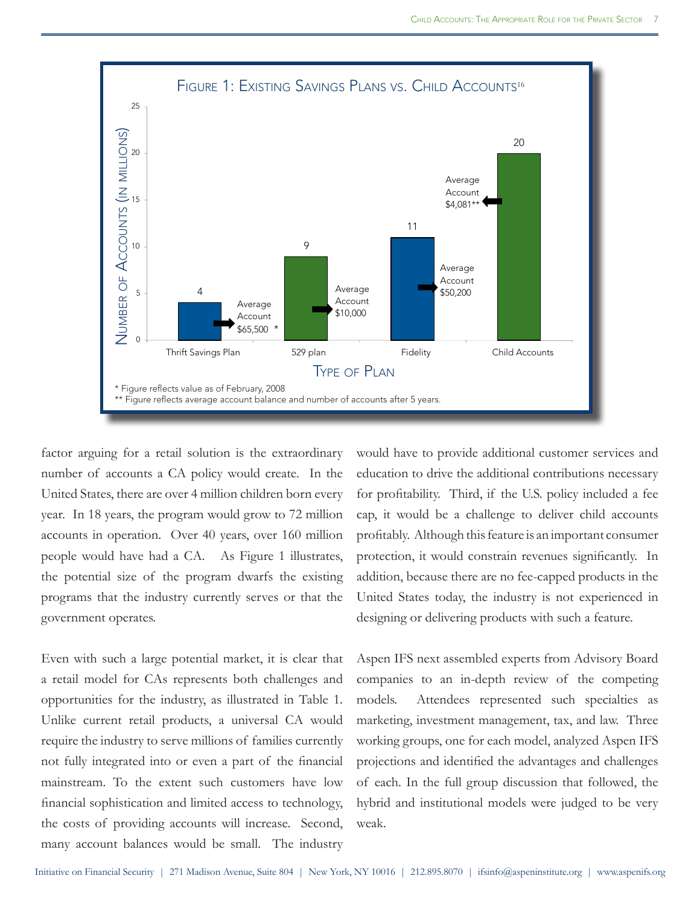

factor arguing for a retail solution is the extraordinary number of accounts a CA policy would create. In the United States, there are over 4 million children born every year. In 18 years, the program would grow to 72 million accounts in operation. Over 40 years, over 160 million people would have had a CA. As Figure 1 illustrates, the potential size of the program dwarfs the existing programs that the industry currently serves or that the government operates.

Even with such a large potential market, it is clear that a retail model for CAs represents both challenges and opportunities for the industry, as illustrated in Table 1. Unlike current retail products, a universal CA would require the industry to serve millions of families currently not fully integrated into or even a part of the financial mainstream. To the extent such customers have low financial sophistication and limited access to technology, the costs of providing accounts will increase. Second, many account balances would be small. The industry

would have to provide additional customer services and education to drive the additional contributions necessary for profitability. Third, if the U.S. policy included a fee cap, it would be a challenge to deliver child accounts profitably. Although this feature is an important consumer protection, it would constrain revenues significantly. In addition, because there are no fee-capped products in the United States today, the industry is not experienced in designing or delivering products with such a feature.

Aspen IFS next assembled experts from Advisory Board companies to an in-depth review of the competing models. Attendees represented such specialties as marketing, investment management, tax, and law. Three working groups, one for each model, analyzed Aspen IFS projections and identified the advantages and challenges of each. In the full group discussion that followed, the hybrid and institutional models were judged to be very weak.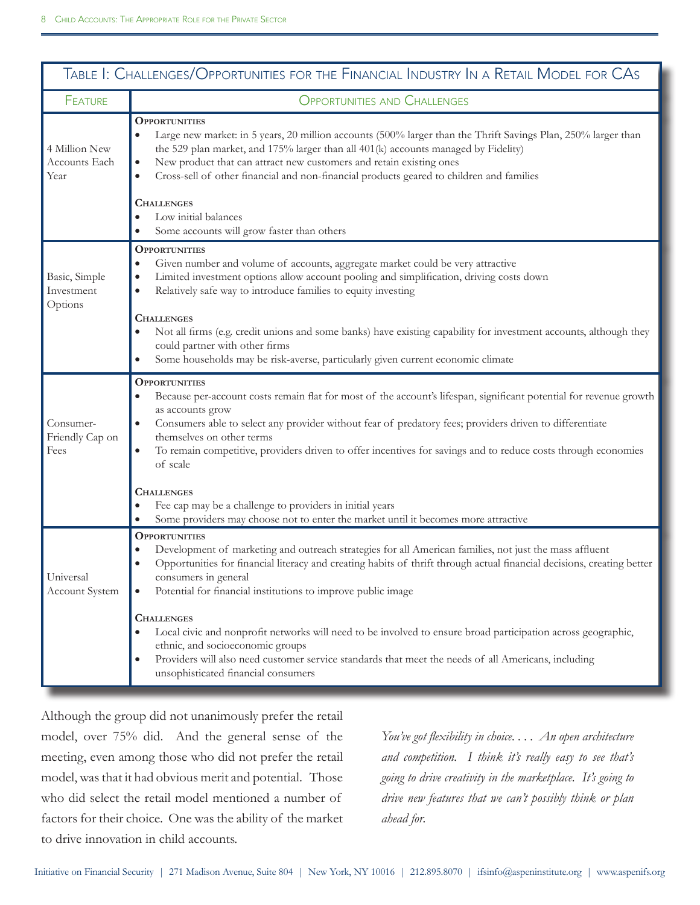| Table 1: Challenges/Opportunities for the Financial Industry In a Retail Model for CAs |                                                                                                                                                                                                                                                                                                                                                                                                                                                                                                                                                                                                                                                                                                                |
|----------------------------------------------------------------------------------------|----------------------------------------------------------------------------------------------------------------------------------------------------------------------------------------------------------------------------------------------------------------------------------------------------------------------------------------------------------------------------------------------------------------------------------------------------------------------------------------------------------------------------------------------------------------------------------------------------------------------------------------------------------------------------------------------------------------|
| <b>FEATURE</b>                                                                         | <b>OPPORTUNITIES AND CHALLENGES</b>                                                                                                                                                                                                                                                                                                                                                                                                                                                                                                                                                                                                                                                                            |
| 4 Million New<br>Accounts Each<br>Year                                                 | <b>OPPORTUNITIES</b><br>Large new market: in 5 years, 20 million accounts (500% larger than the Thrift Savings Plan, 250% larger than<br>$\bullet$<br>the 529 plan market, and 175% larger than all 401(k) accounts managed by Fidelity)<br>New product that can attract new customers and retain existing ones<br>$\bullet$<br>Cross-sell of other financial and non-financial products geared to children and families<br>$\bullet$<br><b>CHALLENGES</b><br>Low initial balances<br>Some accounts will grow faster than others<br>$\bullet$                                                                                                                                                                  |
| Basic, Simple<br>Investment<br>Options                                                 | <b>OPPORTUNITIES</b><br>Given number and volume of accounts, aggregate market could be very attractive<br>$\bullet$<br>Limited investment options allow account pooling and simplification, driving costs down<br>$\bullet$<br>Relatively safe way to introduce families to equity investing<br>$\bullet$<br><b>CHALLENGES</b><br>Not all firms (e.g. credit unions and some banks) have existing capability for investment accounts, although they<br>could partner with other firms<br>Some households may be risk-averse, particularly given current economic climate                                                                                                                                       |
| Consumer-<br>Friendly Cap on<br>Fees                                                   | <b>OPPORTUNITIES</b><br>Because per-account costs remain flat for most of the account's lifespan, significant potential for revenue growth<br>$\bullet$<br>as accounts grow<br>Consumers able to select any provider without fear of predatory fees; providers driven to differentiate<br>$\bullet$<br>themselves on other terms<br>To remain competitive, providers driven to offer incentives for savings and to reduce costs through economies<br>$\bullet$<br>of scale<br><b>CHALLENGES</b><br>Fee cap may be a challenge to providers in initial years<br>Some providers may choose not to enter the market until it becomes more attractive                                                              |
| Universal<br><b>Account System</b>                                                     | <b>OPPORTUNITIES</b><br>Development of marketing and outreach strategies for all American families, not just the mass affluent<br>$\bullet$<br>Opportunities for financial literacy and creating habits of thrift through actual financial decisions, creating better<br>$\bullet$<br>consumers in general<br>Potential for financial institutions to improve public image<br><b>CHALLENGES</b><br>Local civic and nonprofit networks will need to be involved to ensure broad participation across geographic,<br>ethnic, and socioeconomic groups<br>Providers will also need customer service standards that meet the needs of all Americans, including<br>$\bullet$<br>unsophisticated financial consumers |

Although the group did not unanimously prefer the retail model, over 75% did. And the general sense of the meeting, even among those who did not prefer the retail model, was that it had obvious merit and potential. Those who did select the retail model mentioned a number of factors for their choice. One was the ability of the market to drive innovation in child accounts.

*You've got flexibility in choice. . . . An open architecture and competition. I think it's really easy to see that's going to drive creativity in the marketplace. It's going to drive new features that we can't possibly think or plan ahead for.*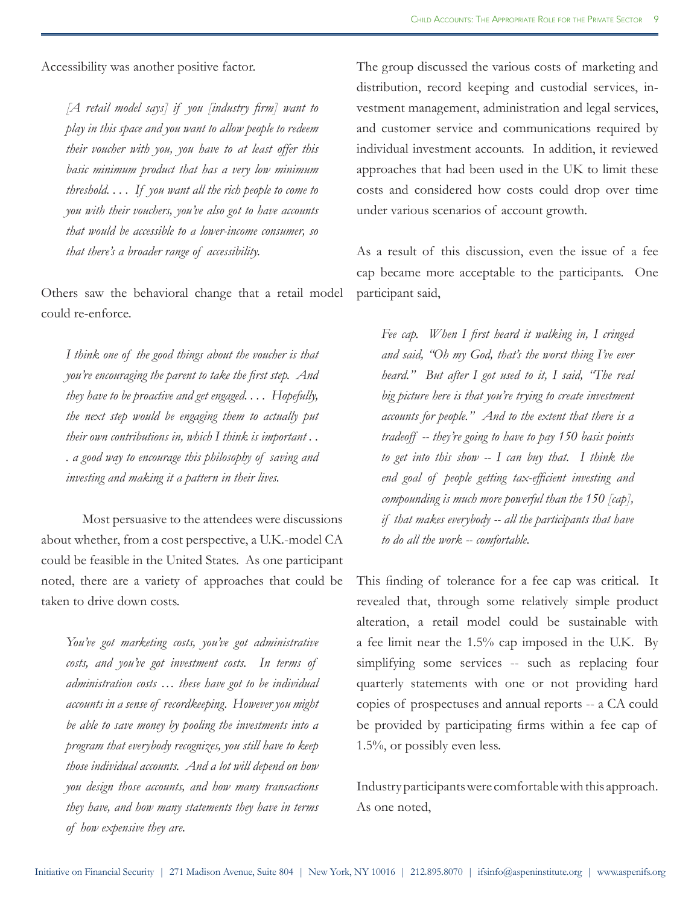Accessibility was another positive factor.

*[A retail model says] if you [industry firm] want to play in this space and you want to allow people to redeem their voucher with you, you have to at least offer this basic minimum product that has a very low minimum threshold. . . . If you want all the rich people to come to you with their vouchers, you've also got to have accounts that would be accessible to a lower-income consumer, so that there's a broader range of accessibility.*

Others saw the behavioral change that a retail model could re-enforce.

*I think one of the good things about the voucher is that you're encouraging the parent to take the first step. And they have to be proactive and get engaged. . . . Hopefully, the next step would be engaging them to actually put their own contributions in, which I think is important . . . a good way to encourage this philosophy of saving and investing and making it a pattern in their lives.*

Most persuasive to the attendees were discussions about whether, from a cost perspective, a U.K.-model CA could be feasible in the United States. As one participant noted, there are a variety of approaches that could be taken to drive down costs.

*You've got marketing costs, you've got administrative costs, and you've got investment costs. In terms of administration costs … these have got to be individual accounts in a sense of recordkeeping. However you might be able to save money by pooling the investments into a program that everybody recognizes, you still have to keep those individual accounts. And a lot will depend on how you design those accounts, and how many transactions they have, and how many statements they have in terms of how expensive they are.* 

The group discussed the various costs of marketing and distribution, record keeping and custodial services, investment management, administration and legal services, and customer service and communications required by individual investment accounts. In addition, it reviewed approaches that had been used in the UK to limit these costs and considered how costs could drop over time under various scenarios of account growth.

As a result of this discussion, even the issue of a fee cap became more acceptable to the participants. One participant said,

*Fee cap. When I first heard it walking in, I cringed and said, "Oh my God, that's the worst thing I've ever heard." But after I got used to it, I said, "The real big picture here is that you're trying to create investment accounts for people." And to the extent that there is a tradeoff -- they're going to have to pay 150 basis points to get into this show -- I can buy that. I think the end goal of people getting tax-efficient investing and compounding is much more powerful than the 150 [cap], if that makes everybody -- all the participants that have to do all the work -- comfortable.*

This finding of tolerance for a fee cap was critical. It revealed that, through some relatively simple product alteration, a retail model could be sustainable with a fee limit near the 1.5% cap imposed in the U.K. By simplifying some services -- such as replacing four quarterly statements with one or not providing hard copies of prospectuses and annual reports -- a CA could be provided by participating firms within a fee cap of 1.5%, or possibly even less.

Industry participants were comfortable with this approach. As one noted,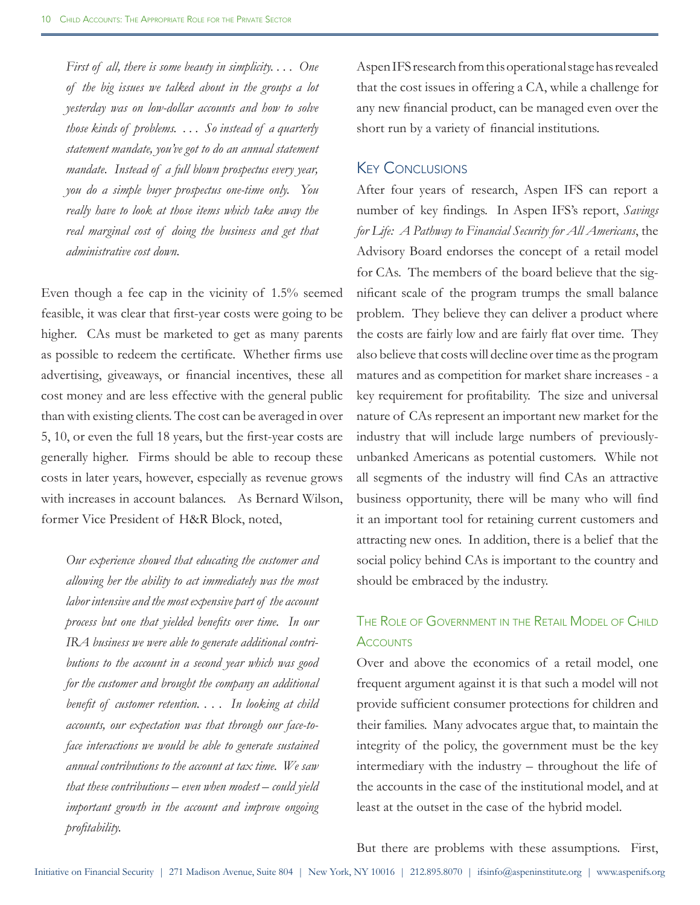*First of all, there is some beauty in simplicity. . . . One of the big issues we talked about in the groups a lot yesterday was on low-dollar accounts and how to solve those kinds of problems. . . . So instead of a quarterly statement mandate, you've got to do an annual statement mandate. Instead of a full blown prospectus every year, you do a simple buyer prospectus one-time only. You really have to look at those items which take away the real marginal cost of doing the business and get that administrative cost down.*

Even though a fee cap in the vicinity of 1.5% seemed feasible, it was clear that first-year costs were going to be higher. CAs must be marketed to get as many parents as possible to redeem the certificate. Whether firms use advertising, giveaways, or financial incentives, these all cost money and are less effective with the general public than with existing clients. The cost can be averaged in over 5, 10, or even the full 18 years, but the first-year costs are generally higher. Firms should be able to recoup these costs in later years, however, especially as revenue grows with increases in account balances. As Bernard Wilson, former Vice President of H&R Block, noted,

*Our experience showed that educating the customer and allowing her the ability to act immediately was the most labor intensive and the most expensive part of the account process but one that yielded benefits over time. In our IRA business we were able to generate additional contributions to the account in a second year which was good for the customer and brought the company an additional benefit of customer retention. . . . In looking at child accounts, our expectation was that through our face-toface interactions we would be able to generate sustained annual contributions to the account at tax time. We saw that these contributions – even when modest – could yield important growth in the account and improve ongoing profitability.*

Aspen IFS research from this operational stage has revealed that the cost issues in offering a CA, while a challenge for any new financial product, can be managed even over the short run by a variety of financial institutions.

#### Key Conclusions

After four years of research, Aspen IFS can report a number of key findings. In Aspen IFS's report, *Savings for Life: A Pathway to Financial Security for All Americans*, the Advisory Board endorses the concept of a retail model for CAs. The members of the board believe that the significant scale of the program trumps the small balance problem. They believe they can deliver a product where the costs are fairly low and are fairly flat over time. They also believe that costs will decline over time as the program matures and as competition for market share increases - a key requirement for profitability. The size and universal nature of CAs represent an important new market for the industry that will include large numbers of previouslyunbanked Americans as potential customers. While not all segments of the industry will find CAs an attractive business opportunity, there will be many who will find it an important tool for retaining current customers and attracting new ones. In addition, there is a belief that the social policy behind CAs is important to the country and should be embraced by the industry.

# The Role of Government in the Retail Model of Child **ACCOUNTS**

Over and above the economics of a retail model, one frequent argument against it is that such a model will not provide sufficient consumer protections for children and their families. Many advocates argue that, to maintain the integrity of the policy, the government must be the key intermediary with the industry – throughout the life of the accounts in the case of the institutional model, and at least at the outset in the case of the hybrid model.

But there are problems with these assumptions. First,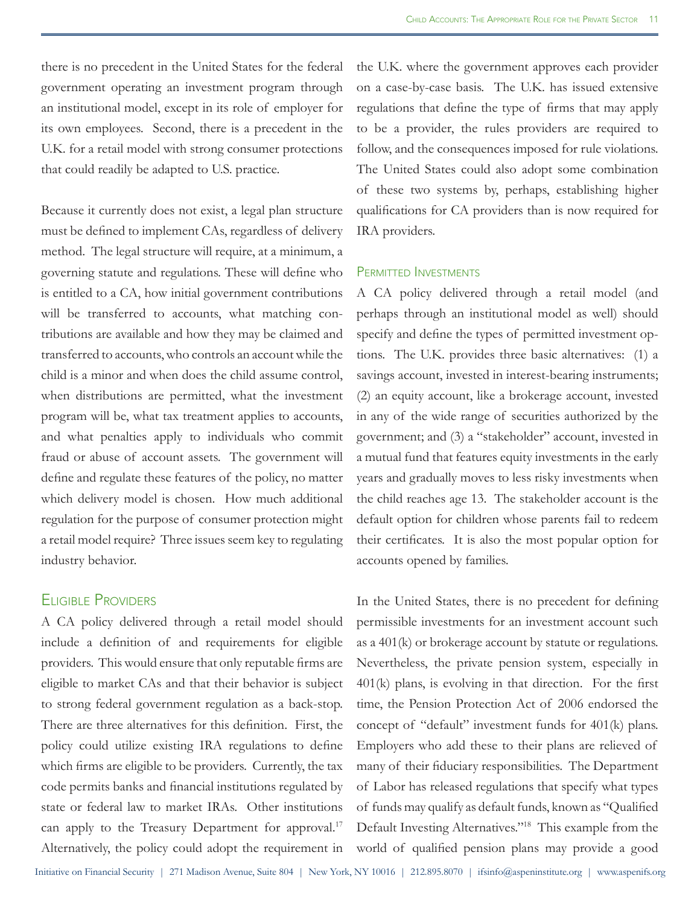there is no precedent in the United States for the federal government operating an investment program through an institutional model, except in its role of employer for its own employees. Second, there is a precedent in the U.K. for a retail model with strong consumer protections that could readily be adapted to U.S. practice.

Because it currently does not exist, a legal plan structure must be defined to implement CAs, regardless of delivery method. The legal structure will require, at a minimum, a governing statute and regulations. These will define who is entitled to a CA, how initial government contributions will be transferred to accounts, what matching contributions are available and how they may be claimed and transferred to accounts, who controls an account while the child is a minor and when does the child assume control, when distributions are permitted, what the investment program will be, what tax treatment applies to accounts, and what penalties apply to individuals who commit fraud or abuse of account assets. The government will define and regulate these features of the policy, no matter which delivery model is chosen. How much additional regulation for the purpose of consumer protection might a retail model require? Three issues seem key to regulating industry behavior.

## Eligible Providers

A CA policy delivered through a retail model should include a definition of and requirements for eligible providers. This would ensure that only reputable firms are eligible to market CAs and that their behavior is subject to strong federal government regulation as a back-stop. There are three alternatives for this definition. First, the policy could utilize existing IRA regulations to define which firms are eligible to be providers. Currently, the tax code permits banks and financial institutions regulated by state or federal law to market IRAs. Other institutions can apply to the Treasury Department for approval.<sup>17</sup> Alternatively, the policy could adopt the requirement in

the U.K. where the government approves each provider on a case-by-case basis. The U.K. has issued extensive regulations that define the type of firms that may apply to be a provider, the rules providers are required to follow, and the consequences imposed for rule violations. The United States could also adopt some combination of these two systems by, perhaps, establishing higher qualifications for CA providers than is now required for IRA providers.

#### Permitted Investments

A CA policy delivered through a retail model (and perhaps through an institutional model as well) should specify and define the types of permitted investment options. The U.K. provides three basic alternatives: (1) a savings account, invested in interest-bearing instruments; (2) an equity account, like a brokerage account, invested in any of the wide range of securities authorized by the government; and (3) a "stakeholder" account, invested in a mutual fund that features equity investments in the early years and gradually moves to less risky investments when the child reaches age 13. The stakeholder account is the default option for children whose parents fail to redeem their certificates. It is also the most popular option for accounts opened by families.

In the United States, there is no precedent for defining permissible investments for an investment account such as a 401(k) or brokerage account by statute or regulations. Nevertheless, the private pension system, especially in 401(k) plans, is evolving in that direction. For the first time, the Pension Protection Act of 2006 endorsed the concept of "default" investment funds for 401(k) plans. Employers who add these to their plans are relieved of many of their fiduciary responsibilities. The Department of Labor has released regulations that specify what types of funds may qualify as default funds, known as "Qualified Default Investing Alternatives."18 This example from the world of qualified pension plans may provide a good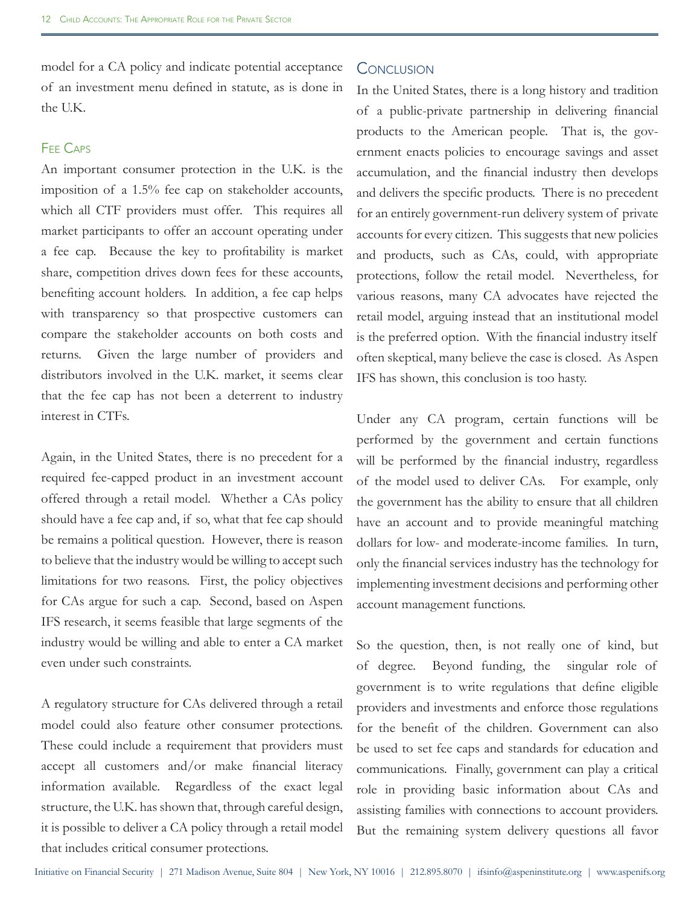model for a CA policy and indicate potential acceptance of an investment menu defined in statute, as is done in the U.K.

#### Fee Caps

An important consumer protection in the U.K. is the imposition of a 1.5% fee cap on stakeholder accounts, which all CTF providers must offer. This requires all market participants to offer an account operating under a fee cap. Because the key to profitability is market share, competition drives down fees for these accounts, benefiting account holders. In addition, a fee cap helps with transparency so that prospective customers can compare the stakeholder accounts on both costs and returns. Given the large number of providers and distributors involved in the U.K. market, it seems clear that the fee cap has not been a deterrent to industry interest in CTFs.

Again, in the United States, there is no precedent for a required fee-capped product in an investment account offered through a retail model. Whether a CAs policy should have a fee cap and, if so, what that fee cap should be remains a political question. However, there is reason to believe that the industry would be willing to accept such limitations for two reasons. First, the policy objectives for CAs argue for such a cap. Second, based on Aspen IFS research, it seems feasible that large segments of the industry would be willing and able to enter a CA market even under such constraints.

A regulatory structure for CAs delivered through a retail model could also feature other consumer protections. These could include a requirement that providers must accept all customers and/or make financial literacy information available. Regardless of the exact legal structure, the U.K. has shown that, through careful design, it is possible to deliver a CA policy through a retail model that includes critical consumer protections.

### **CONCLUSION**

In the United States, there is a long history and tradition of a public-private partnership in delivering financial products to the American people. That is, the government enacts policies to encourage savings and asset accumulation, and the financial industry then develops and delivers the specific products. There is no precedent for an entirely government-run delivery system of private accounts for every citizen. This suggests that new policies and products, such as CAs, could, with appropriate protections, follow the retail model. Nevertheless, for various reasons, many CA advocates have rejected the retail model, arguing instead that an institutional model is the preferred option. With the financial industry itself often skeptical, many believe the case is closed. As Aspen IFS has shown, this conclusion is too hasty.

Under any CA program, certain functions will be performed by the government and certain functions will be performed by the financial industry, regardless of the model used to deliver CAs. For example, only the government has the ability to ensure that all children have an account and to provide meaningful matching dollars for low- and moderate-income families. In turn, only the financial services industry has the technology for implementing investment decisions and performing other account management functions.

So the question, then, is not really one of kind, but of degree. Beyond funding, the singular role of government is to write regulations that define eligible providers and investments and enforce those regulations for the benefit of the children. Government can also be used to set fee caps and standards for education and communications. Finally, government can play a critical role in providing basic information about CAs and assisting families with connections to account providers. But the remaining system delivery questions all favor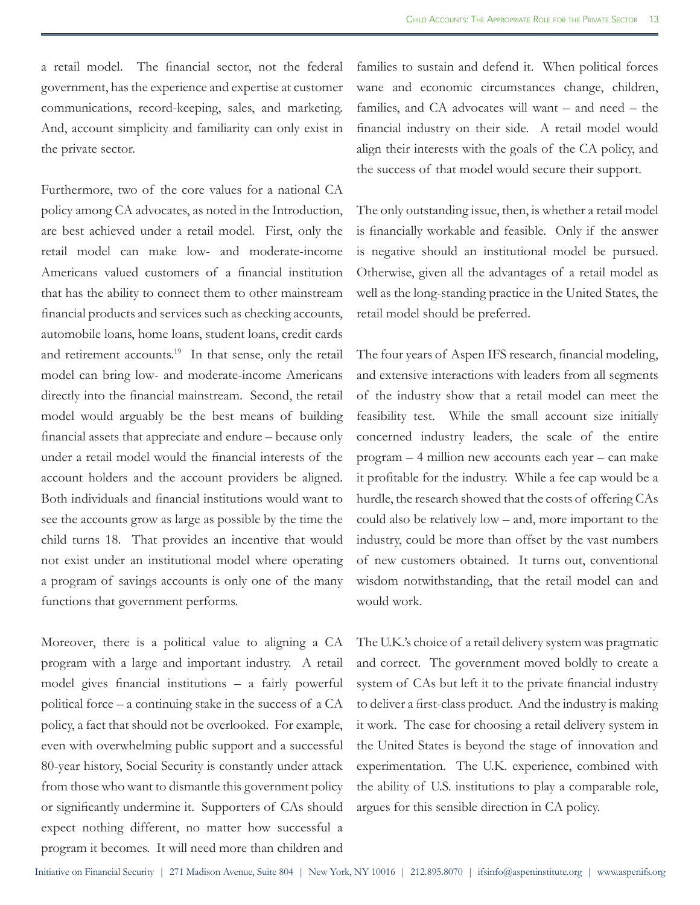a retail model. The financial sector, not the federal government, has the experience and expertise at customer communications, record-keeping, sales, and marketing. And, account simplicity and familiarity can only exist in the private sector.

Furthermore, two of the core values for a national CA policy among CA advocates, as noted in the Introduction, are best achieved under a retail model. First, only the retail model can make low- and moderate-income Americans valued customers of a financial institution that has the ability to connect them to other mainstream financial products and services such as checking accounts, automobile loans, home loans, student loans, credit cards and retirement accounts.<sup>19</sup> In that sense, only the retail model can bring low- and moderate-income Americans directly into the financial mainstream. Second, the retail model would arguably be the best means of building financial assets that appreciate and endure – because only under a retail model would the financial interests of the account holders and the account providers be aligned. Both individuals and financial institutions would want to see the accounts grow as large as possible by the time the child turns 18. That provides an incentive that would not exist under an institutional model where operating a program of savings accounts is only one of the many functions that government performs.

Moreover, there is a political value to aligning a CA program with a large and important industry. A retail model gives financial institutions – a fairly powerful political force – a continuing stake in the success of a CA policy, a fact that should not be overlooked. For example, even with overwhelming public support and a successful 80-year history, Social Security is constantly under attack from those who want to dismantle this government policy or significantly undermine it. Supporters of CAs should expect nothing different, no matter how successful a program it becomes. It will need more than children and

families to sustain and defend it. When political forces wane and economic circumstances change, children, families, and CA advocates will want – and need – the financial industry on their side. A retail model would align their interests with the goals of the CA policy, and the success of that model would secure their support.

The only outstanding issue, then, is whether a retail model is financially workable and feasible. Only if the answer is negative should an institutional model be pursued. Otherwise, given all the advantages of a retail model as well as the long-standing practice in the United States, the retail model should be preferred.

The four years of Aspen IFS research, financial modeling, and extensive interactions with leaders from all segments of the industry show that a retail model can meet the feasibility test. While the small account size initially concerned industry leaders, the scale of the entire program – 4 million new accounts each year – can make it profitable for the industry. While a fee cap would be a hurdle, the research showed that the costs of offering CAs could also be relatively low – and, more important to the industry, could be more than offset by the vast numbers of new customers obtained. It turns out, conventional wisdom notwithstanding, that the retail model can and would work.

The U.K.'s choice of a retail delivery system was pragmatic and correct. The government moved boldly to create a system of CAs but left it to the private financial industry to deliver a first-class product. And the industry is making it work. The case for choosing a retail delivery system in the United States is beyond the stage of innovation and experimentation. The U.K. experience, combined with the ability of U.S. institutions to play a comparable role, argues for this sensible direction in CA policy.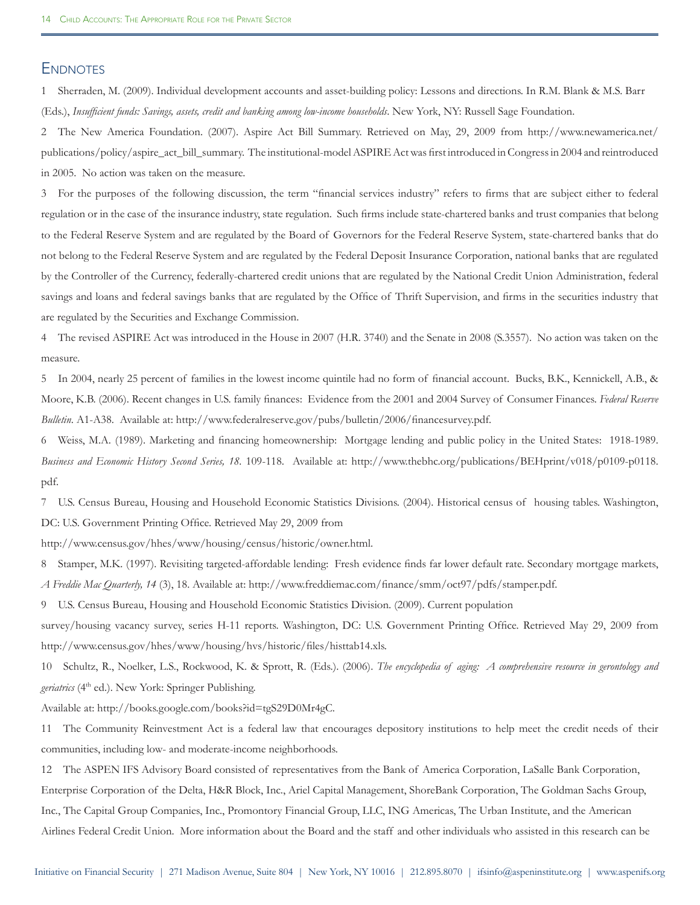#### **ENDNOTES**

1 Sherraden, M. (2009). Individual development accounts and asset-building policy: Lessons and directions. In R.M. Blank & M.S. Barr (Eds.), *Insufficient funds: Savings, assets, credit and banking among low-income households*. New York, NY: Russell Sage Foundation.

2 The New America Foundation. (2007). Aspire Act Bill Summary. Retrieved on May, 29, 2009 from http://www.newamerica.net/ publications/policy/aspire\_act\_bill\_summary. The institutional-model ASPIRE Act was first introduced in Congress in 2004 and reintroduced in 2005. No action was taken on the measure.

3 For the purposes of the following discussion, the term "financial services industry" refers to firms that are subject either to federal regulation or in the case of the insurance industry, state regulation. Such firms include state-chartered banks and trust companies that belong to the Federal Reserve System and are regulated by the Board of Governors for the Federal Reserve System, state-chartered banks that do not belong to the Federal Reserve System and are regulated by the Federal Deposit Insurance Corporation, national banks that are regulated by the Controller of the Currency, federally-chartered credit unions that are regulated by the National Credit Union Administration, federal savings and loans and federal savings banks that are regulated by the Office of Thrift Supervision, and firms in the securities industry that are regulated by the Securities and Exchange Commission.

4 The revised ASPIRE Act was introduced in the House in 2007 (H.R. 3740) and the Senate in 2008 (S.3557). No action was taken on the measure.

5 In 2004, nearly 25 percent of families in the lowest income quintile had no form of financial account. Bucks, B.K., Kennickell, A.B., & Moore, K.B. (2006). Recent changes in U.S. family finances: Evidence from the 2001 and 2004 Survey of Consumer Finances. *Federal Reserve Bulletin*. A1-A38. Available at: http://www.federalreserve.gov/pubs/bulletin/2006/financesurvey.pdf.

6 Weiss, M.A. (1989). Marketing and financing homeownership: Mortgage lending and public policy in the United States: 1918-1989. Business and Economic History Second Series, 18. 109-118. Available at: http://www.thebhc.org/publications/BEHprint/v018/p0109-p0118. pdf.

7 U.S. Census Bureau, Housing and Household Economic Statistics Divisions. (2004). Historical census of housing tables. Washington, DC: U.S. Government Printing Office. Retrieved May 29, 2009 from

http://www.census.gov/hhes/www/housing/census/historic/owner.html.

8 Stamper, M.K. (1997). Revisiting targeted-affordable lending: Fresh evidence finds far lower default rate. Secondary mortgage markets, *A Freddie Mac Quarterly, 14* (3), 18. Available at: http://www.freddiemac.com/finance/smm/oct97/pdfs/stamper.pdf.

9 U.S. Census Bureau, Housing and Household Economic Statistics Division. (2009). Current population

survey/housing vacancy survey, series H-11 reports. Washington, DC: U.S. Government Printing Office. Retrieved May 29, 2009 from http://www.census.gov/hhes/www/housing/hvs/historic/files/histtab14.xls.

10 Schultz, R., Noelker, L.S., Rockwood, K. & Sprott, R. (Eds.). (2006). *The encyclopedia of aging: A comprehensive resource in gerontology and geriatrics* (4<sup>th</sup> ed.). New York: Springer Publishing.

Available at: http://books.google.com/books?id=tgS29D0Mr4gC.

11 The Community Reinvestment Act is a federal law that encourages depository institutions to help meet the credit needs of their communities, including low- and moderate-income neighborhoods.

12 The ASPEN IFS Advisory Board consisted of representatives from the Bank of America Corporation, LaSalle Bank Corporation, Enterprise Corporation of the Delta, H&R Block, Inc., Ariel Capital Management, ShoreBank Corporation, The Goldman Sachs Group, Inc., The Capital Group Companies, Inc., Promontory Financial Group, LLC, ING Americas, The Urban Institute, and the American Airlines Federal Credit Union. More information about the Board and the staff and other individuals who assisted in this research can be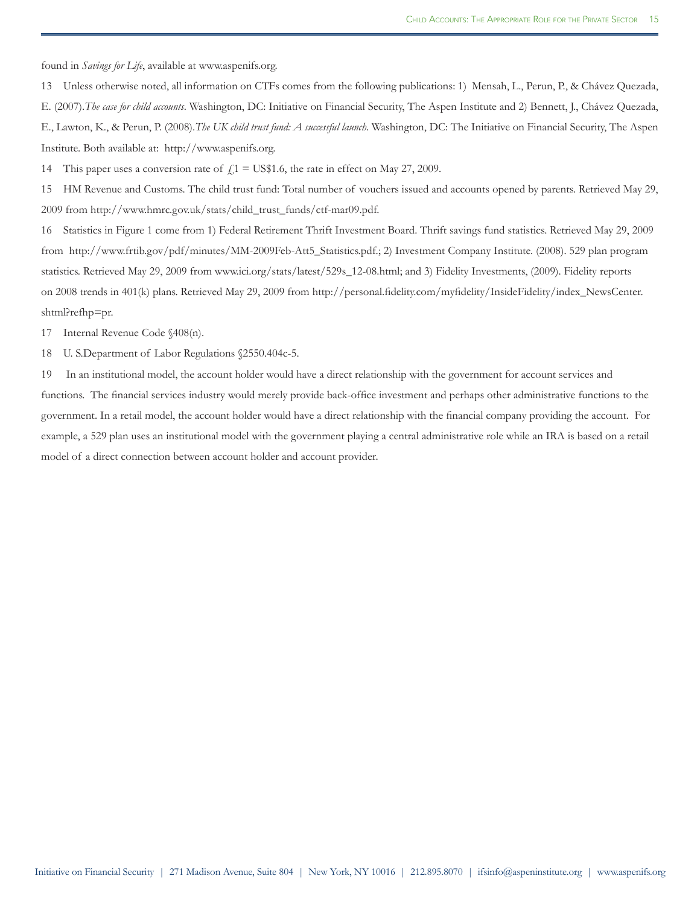found in *Savings for Life*, available at www.aspenifs.org.

13 Unless otherwise noted, all information on CTFs comes from the following publications: 1) Mensah, L., Perun, P., & Chávez Quezada, E. (2007).*The case for child accounts*. Washington, DC: Initiative on Financial Security, The Aspen Institute and 2) Bennett, J., Chávez Quezada, E., Lawton, K., & Perun, P. (2008).*The UK child trust fund: A successful launch*. Washington, DC: The Initiative on Financial Security, The Aspen Institute. Both available at: http://www.aspenifs.org.

14 This paper uses a conversion rate of  $\int_{\mathbb{R}} 1 = \text{US} $1.6$ , the rate in effect on May 27, 2009.

15 HM Revenue and Customs. The child trust fund: Total number of vouchers issued and accounts opened by parents. Retrieved May 29, 2009 from http://www.hmrc.gov.uk/stats/child\_trust\_funds/ctf-mar09.pdf.

16 Statistics in Figure 1 come from 1) Federal Retirement Thrift Investment Board. Thrift savings fund statistics. Retrieved May 29, 2009 from http://www.frtib.gov/pdf/minutes/MM-2009Feb-Att5\_Statistics.pdf.; 2) Investment Company Institute. (2008). 529 plan program statistics. Retrieved May 29, 2009 from www.ici.org/stats/latest/529s\_12-08.html; and 3) Fidelity Investments, (2009). Fidelity reports on 2008 trends in 401(k) plans. Retrieved May 29, 2009 from http://personal.fidelity.com/myfidelity/InsideFidelity/index\_NewsCenter. shtml?refhp=pr.

17 Internal Revenue Code §408(n).

18 U. S.Department of Labor Regulations §2550.404c-5.

19 In an institutional model, the account holder would have a direct relationship with the government for account services and functions. The financial services industry would merely provide back-office investment and perhaps other administrative functions to the government. In a retail model, the account holder would have a direct relationship with the financial company providing the account. For example, a 529 plan uses an institutional model with the government playing a central administrative role while an IRA is based on a retail model of a direct connection between account holder and account provider.